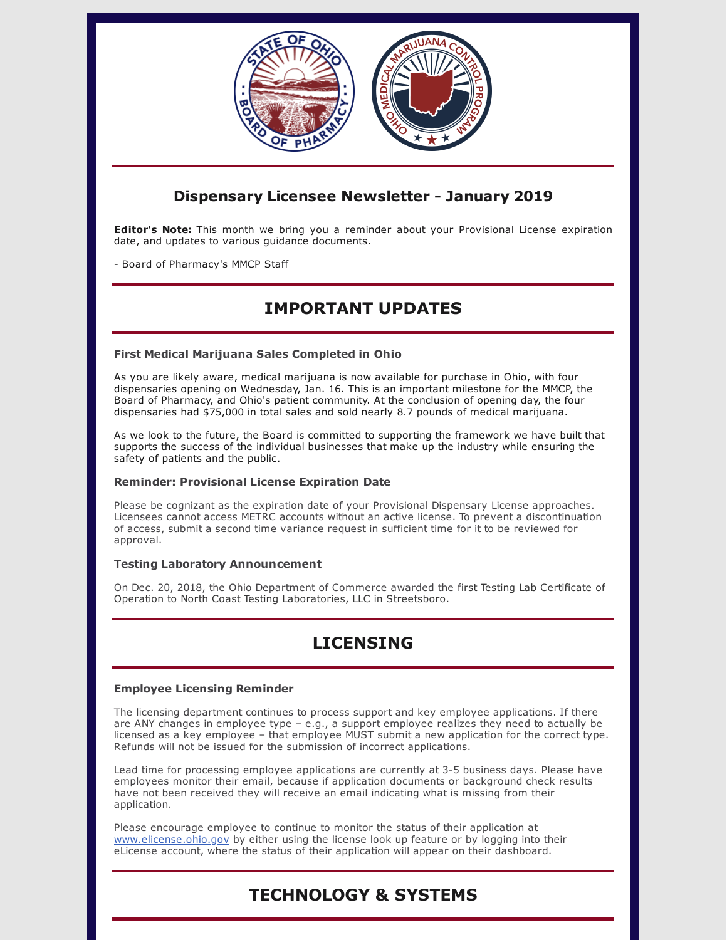

### **Dispensary Licensee Newsletter - January 2019**

**Editor's Note:** This month we bring you a reminder about your Provisional License expiration date, and updates to various guidance documents.

- Board of Pharmacy's MMCP Staff

## **IMPORTANT UPDATES**

### **First Medical Marijuana Sales Completed in Ohio**

As you are likely aware, medical marijuana is now available for purchase in Ohio, with four dispensaries opening on Wednesday, Jan. 16. This is an important milestone for the MMCP, the Board of Pharmacy, and Ohio's patient community. At the conclusion of opening day, the four dispensaries had \$75,000 in total sales and sold nearly 8.7 pounds of medical marijuana.

As we look to the future, the Board is committed to supporting the framework we have built that supports the success of the individual businesses that make up the industry while ensuring the safety of patients and the public.

### **Reminder: Provisional License Expiration Date**

Please be cognizant as the expiration date of your Provisional Dispensary License approaches. Licensees cannot access METRC accounts without an active license. To prevent a discontinuation of access, submit a second time variance request in sufficient time for it to be reviewed for approval.

### **Testing Laboratory Announcement**

On Dec. 20, 2018, the Ohio Department of Commerce awarded the first Testing Lab Certificate of Operation to North Coast Testing Laboratories, LLC in Streetsboro.

# **LICENSING**

### **Employee Licensing Reminder**

The licensing department continues to process support and key employee applications. If there are ANY changes in employee type – e.g., a support employee realizes they need to actually be licensed as a key employee – that employee MUST submit a new application for the correct type. Refunds will not be issued for the submission of incorrect applications.

Lead time for processing employee applications are currently at 3-5 business days. Please have employees monitor their email, because if application documents or background check results have not been received they will receive an email indicating what is missing from their application.

Please encourage employee to continue to monitor the status of their application at [www.elicense.ohio.gov](http://www.elicense.ohio.gov/) by either using the license look up feature or by logging into their eLicense account, where the status of their application will appear on their dashboard.

# **TECHNOLOGY & SYSTEMS**